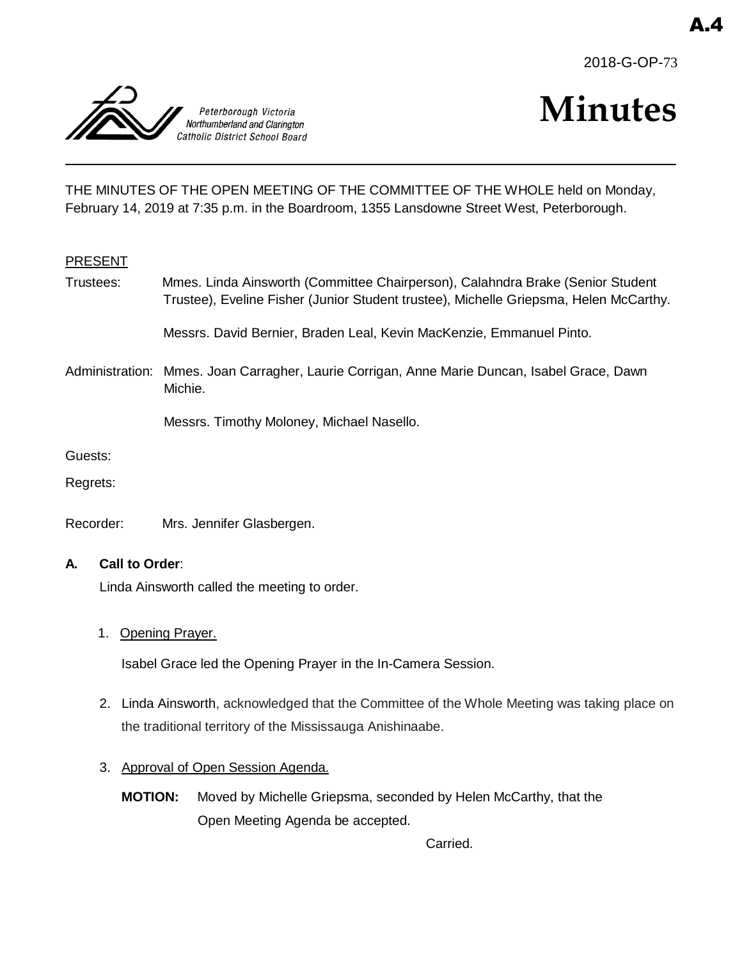



# **Minutes**

THE MINUTES OF THE OPEN MEETING OF THE COMMITTEE OF THE WHOLE held on Monday, February 14, 2019 at 7:35 p.m. in the Boardroom, 1355 Lansdowne Street West, Peterborough.

#### PRESENT

Trustees: Mmes. Linda Ainsworth (Committee Chairperson), Calahndra Brake (Senior Student Trustee), Eveline Fisher (Junior Student trustee), Michelle Griepsma, Helen McCarthy.

Messrs. David Bernier, Braden Leal, Kevin MacKenzie, Emmanuel Pinto.

Administration: Mmes. Joan Carragher, Laurie Corrigan, Anne Marie Duncan, Isabel Grace, Dawn Michie.

Messrs. Timothy Moloney, Michael Nasello.

Guests:

Regrets:

Recorder: Mrs. Jennifer Glasbergen.

#### **A. Call to Order**:

Linda Ainsworth called the meeting to order.

1. Opening Prayer.

Isabel Grace led the Opening Prayer in the In-Camera Session.

- 2. Linda Ainsworth, acknowledged that the Committee of the Whole Meeting was taking place on the traditional territory of the Mississauga Anishinaabe.
- 3. Approval of Open Session Agenda.
	- **MOTION:** Moved by Michelle Griepsma, seconded by Helen McCarthy, that the Open Meeting Agenda be accepted.

Carried.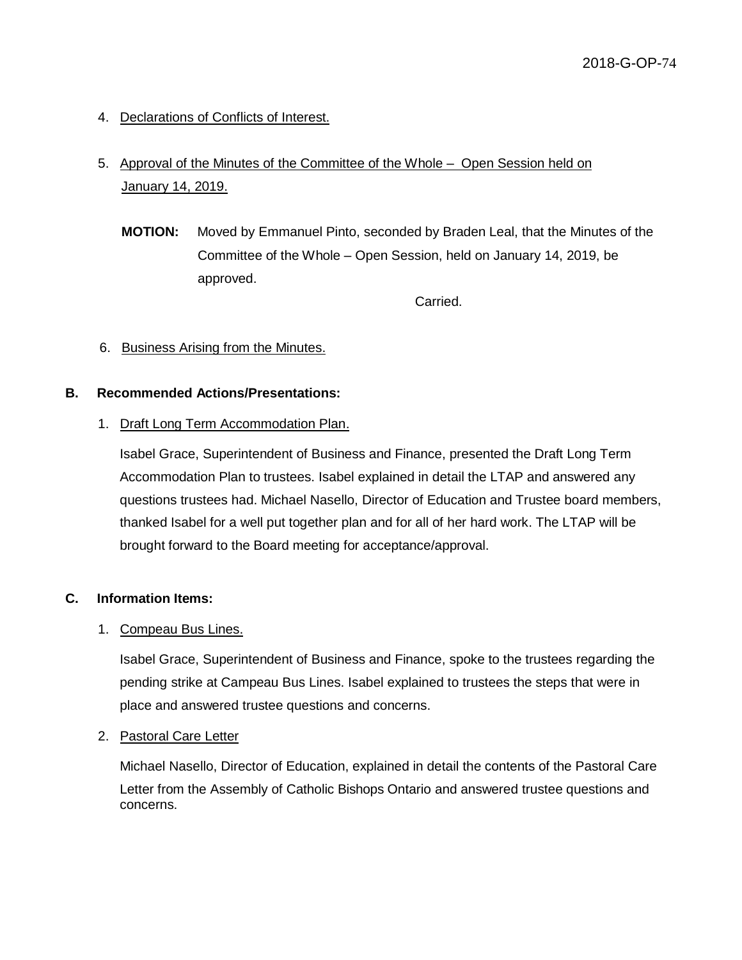4. Declarations of Conflicts of Interest.

# 5. Approval of the Minutes of the Committee of the Whole – Open Session held on January 14, 2019.

**MOTION:** Moved by Emmanuel Pinto, seconded by Braden Leal, that the Minutes of the Committee of the Whole – Open Session, held on January 14, 2019, be approved.

Carried.

# 6. Business Arising from the Minutes.

#### **B. Recommended Actions/Presentations:**

# 1. Draft Long Term Accommodation Plan.

Isabel Grace, Superintendent of Business and Finance, presented the Draft Long Term Accommodation Plan to trustees. Isabel explained in detail the LTAP and answered any questions trustees had. Michael Nasello, Director of Education and Trustee board members, thanked Isabel for a well put together plan and for all of her hard work. The LTAP will be brought forward to the Board meeting for acceptance/approval.

#### **C. Information Items:**

#### 1. Compeau Bus Lines.

Isabel Grace, Superintendent of Business and Finance, spoke to the trustees regarding the pending strike at Campeau Bus Lines. Isabel explained to trustees the steps that were in place and answered trustee questions and concerns.

#### 2. Pastoral Care Letter

Michael Nasello, Director of Education, explained in detail the contents of the Pastoral Care Letter from the Assembly of Catholic Bishops Ontario and answered trustee questions and concerns.